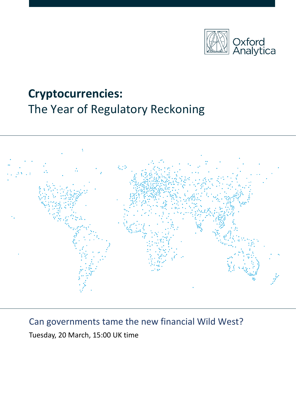

# **Cryptocurrencies:** The Year of Regulatory Reckoning



## Can governments tame the new financial Wild West?

Tuesday, 20 March, 15:00 UK time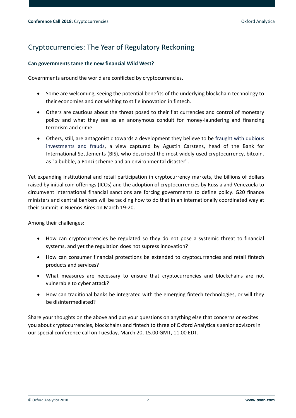## Cryptocurrencies: The Year of Regulatory Reckoning

#### **Can governments tame the new financial Wild West?**

Governments around the world are conflicted by cryptocurrencies.

- Some are welcoming, seeing the potential benefits of the underlying blockchain technology to their economies and not wishing to stifle innovation in fintech.
- Others are cautious about the threat posed to their fiat currencies and control of monetary policy and what they see as an anonymous conduit for money-laundering and financing terrorism and crime.
- Others, still, are antagonistic towards a development they believe to be fraught with dubious investments and frauds, a view captured by Agustin Carstens, head of the Bank for International Settlements (BIS), who described the most widely used cryptocurrency, bitcoin, as "a bubble, a Ponzi scheme and an environmental disaster".

Yet expanding institutional and retail participation in cryptocurrency markets, the billions of dollars raised by initial coin offerings (ICOs) and the adoption of cryptocurrencies by Russia and Venezuela to circumvent international financial sanctions are forcing governments to define policy. G20 finance ministers and central bankers will be tackling how to do that in an internationally coordinated way at their summit in Buenos Aires on March 19-20.

Among their challenges:

- How can cryptocurrencies be regulated so they do not pose a systemic threat to financial systems, and yet the regulation does not supress innovation?
- How can consumer financial protections be extended to cryptocurrencies and retail fintech products and services?
- What measures are necessary to ensure that cryptocurrencies and blockchains are not vulnerable to cyber attack?
- How can traditional banks be integrated with the emerging fintech technologies, or will they be disintermediated?

Share your thoughts on the above and put your questions on anything else that concerns or excites you about cryptocurrencies, blockchains and fintech to three of Oxford Analytica's senior advisors in our special conference call on Tuesday, March 20, 15.00 GMT, 11.00 EDT.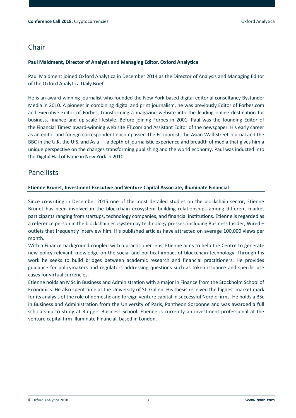## **Chair**

#### **Paul Maidment, Director of Analysis and Managing Editor, Oxford Analytica**

Paul Maidment joined Oxford Analytica in December 2014 as the Director of Analysis and Managing Editor of the Oxford Analytica Daily Brief.

He is an award-winning journalist who founded the New York-based digital editorial consultancy Bystander Media in 2010. A pioneer in combining digital and print journalism, he was previously Editor of [Forbes.com](http://forbes.com/) and Executive Editor of Forbes, transforming a magazine website into the leading online destination for business, finance and up-scale lifestyle. Before joining Forbes in 2001, Paul was the founding Editor of the Financial Times' award-winning web site [FT.com](http://ft.com/) and Assistant Editor of the newspaper. His early career as an editor and foreign correspondent encompassed The Economist, the Asian Wall Street Journal and the BBC in the U.K. the U.S. and Asia — a depth of journalistic experience and breadth of media that gives him a unique perspective on the changes transforming publishing and the world economy. Paul was inducted into the Digital Hall of Fame in New York in 2010.

### **Panellists**

#### **Etienne Brunet, Investment Executive and Venture Capital Associate, Illuminate Financial**

Since co-writing in December 2015 one of the most detailed studies on the blockchain sector, Etienne Brunet has been involved in the blockchain ecosystem building relationships among different market participants ranging from startups, technology companies, and financial institutions. Etienne is regarded as a reference person in the blockchain ecosystem by technology presses, including Business Insider, Wired – outlets that frequently interview him. His published articles have attracted on average 100,000 views per month.

With a Finance background coupled with a practitioner lens, Etienne aims to help the Centre to generate new policy-relevant knowledge on the social and political impact of blockchain technology. Through his work he seeks to build bridges between academic research and financial practitioners. He provides guidance for policymakers and regulators addressing questions such as token issuance and specific use cases for virtual currencies.

Etienne holds an MSc in Business and Administration with a major in Finance from the Stockholm School of Economics. He also spent time at the University of St. Gallen. His thesis received the highest market mark for its analysis of the role of domestic and foreign venture capital in successful Nordic firms. He holds a BSc in Business and Administration from the University of Paris, Pantheon Sorbonne and was awarded a full scholarship to study at Rutgers Business School. Etienne is currently an investment professional at the venture capital firm Illuminate Financial, based in London.